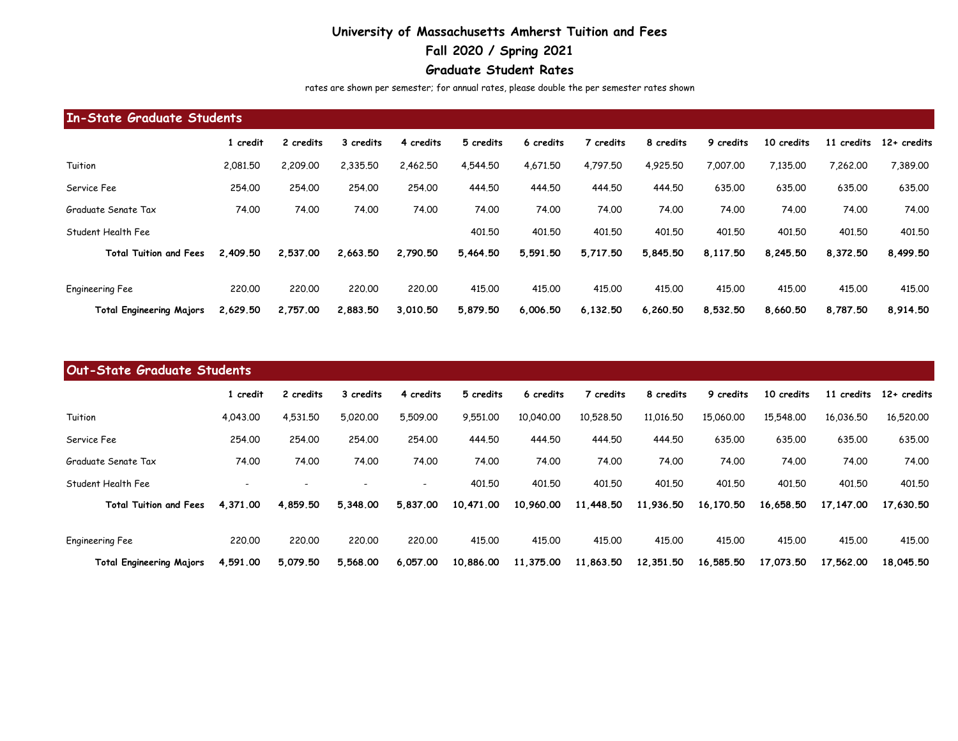## **University of Massachusetts Amherst Tuition and Fees**

## **Fall 2020 / Spring 2021**

## **Graduate Student Rates**

rates are shown per semester; for annual rates, please double the per semester rates shown

| In-State Graduate Students      |          |           |           |           |           |           |           |           |           |            |            |               |
|---------------------------------|----------|-----------|-----------|-----------|-----------|-----------|-----------|-----------|-----------|------------|------------|---------------|
|                                 | credit   | 2 credits | 3 credits | 4 credits | 5 credits | 6 credits | ' credits | 8 credits | 9 credits | 10 credits | 11 credits | $12+$ credits |
| Tuition                         | 2,081,50 | 2,209.00  | 2,335.50  | 2,462.50  | 4.544.50  | 4,671.50  | 4,797.50  | 4,925,50  | 7,007.00  | 7.135.00   | 7,262,00   | 7,389.00      |
| Service Fee                     | 254,00   | 254.00    | 254.00    | 254.00    | 444.50    | 444.50    | 444.50    | 444.50    | 635.00    | 635,00     | 635.00     | 635,00        |
| Graduate Senate Tax             | 74.00    | 74.00     | 74.00     | 74.00     | 74.00     | 74.00     | 74.00     | 74.00     | 74.00     | 74.00      | 74.00      | 74.00         |
| Student Health Fee              |          |           |           |           | 401.50    | 401,50    | 401,50    | 401,50    | 401.50    | 401,50     | 401,50     | 401,50        |
| <b>Total Tuition and Fees</b>   | 2,409.50 | 2.537.00  | 2,663.50  | 2,790.50  | 5,464.50  | 5,591.50  | 5,717.50  | 5,845.50  | 8,117.50  | 8,245.50   | 8,372,50   | 8,499.50      |
| Engineering Fee                 | 220,00   | 220,00    | 220.00    | 220.00    | 415,00    | 415,00    | 415.00    | 415,00    | 415,00    | 415.00     | 415,00     | 415,00        |
| <b>Total Engineering Majors</b> | 2,629.50 | 2.757.00  | 2,883.50  | 3,010.50  | 5,879.50  | 6,006.50  | 6,132.50  | 6,260.50  | 8,532.50  | 8,660.50   | 8.787.50   | 8,914.50      |

| <b>Out-State Graduate Students</b> |          |           |           |                          |           |           |           |           |           |            |             |               |
|------------------------------------|----------|-----------|-----------|--------------------------|-----------|-----------|-----------|-----------|-----------|------------|-------------|---------------|
|                                    | credit   | 2 credits | 3 credits | 4 credits                | 5 credits | 6 credits | 7 credits | 8 credits | 9 credits | 10 credits | 11 credits  | $12+$ credits |
| Tuition                            | 4,043,00 | 4.531.50  | 5,020,00  | 5,509.00                 | 9,551,00  | 10,040,00 | 10,528,50 | 11,016,50 | 15,060,00 | 15.548.00  | 16,036.50   | 16,520,00     |
| Service Fee                        | 254,00   | 254.00    | 254.00    | 254.00                   | 444.50    | 444.50    | 444.50    | 444.50    | 635.00    | 635.00     | 635,00      | 635,00        |
| Graduate Senate Tax                | 74.00    | 74.00     | 74.00     | 74.00                    | 74.00     | 74.00     | 74.00     | 74.00     | 74.00     | 74.00      | 74.00       | 74.00         |
| Student Health Fee                 |          |           |           | $\overline{\phantom{0}}$ | 401,50    | 401,50    | 401.50    | 401.50    | 401.50    | 401.50     | 401.50      | 401,50        |
| <b>Total Tuition and Fees</b>      | 4,371,00 | 4.859.50  | 5,348.00  | 5,837,00                 | 10,471.00 | 10,960.00 | 11,448.50 | 11,936.50 | 16,170.50 | 16,658.50  | 17, 147, 00 | 17,630.50     |
| Engineering Fee                    | 220,00   | 220.00    | 220.00    | 220,00                   | 415.00    | 415,00    | 415.00    | 415.00    | 415,00    | 415.00     | 415.00      | 415,00        |
| <b>Total Engineering Majors</b>    | 4,591,00 | 5,079.50  | 5,568.00  | 6,057.00                 | 10,886.00 | 11,375.00 | 11,863.50 | 12,351.50 | 16,585.50 | 17.073.50  | 17,562.00   | 18.045.50     |